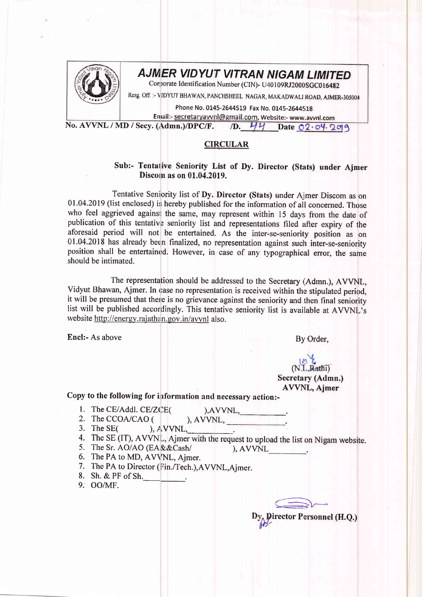

## AJMER VIDYUT VITRAN NIGAM LIMITED

Corporate Identification Number (CIN)- U40109RJ2000SGC016482

Resg. Off. :- VIDYUT BHAWAN, PANCHSHEEL NAGAR, MAKADWALI ROAD, AJMER-305004

Phone No. 0145-2644519 Fax No. 0145-2644518 Email:- secretary avvnl@gmail.com, Website:- www.avvnl.com<br>(Admn.)/DPC/F. /D. 44 Date 02.04.209

No. AVVNL / MD / Secy. (Admn.)/DPC/F.

## CIRCULAR

## Sub:- Tentative Seniority List of Dy. Director (Stats) under Ajmer Discom as on 01.04.2019.

Tentative Seniority list of Dy. Director (Stats) under Ajmer Discom as on 01.04.2019 (list enclosed) is hereby published for the information of all concerned. Those who feel aggrieved against the same, may represent within 15 days from the date of publication of this tentative seniority list and representations filed after expiry of the aforesaid period will not be entertained. As the inter-se-seniority position as on 01.04.2018 has already beern finalized, no representation against such inter-se-seniority position shall be entertained. However, in case of any typographical error, the same should be intimated.

The representation should be addressed to the Secretary (Admn.), AVVNL, Vidyut Bhawan, Ajmer. In case no representation is received within the stipulated period, it will be presumed that there is no grievance against the seniority and then final seniority list will be published accordingly. This tentative seniority list is available at AVVNL's website http://energy.rajathan.gov.in/avvnl also.

Encl:- As above

By Order,

## AVVNL, Ajmer  $N.L.Rath1)$ Secretary (Admn.)

Copy to the following for information and necessary action:-

1. The CE/Addl. CE/ZCE(

- 2. The CCOA/CAO (
- ), AV\rI\IL,
- 3. The SE(
- 4. The SE (IT), AVVNL, Ajmer with the request to upload the list on Nigam website.
- 5. The Sr. AO/AO (EA & & Cash/
- $\lambda$ , AVVNL
- 6. The PA to MD, AVVNL, Ajmer.
- 7. The PA to Director (Fin./Tech.),AVVNL,Ajmer.
- 8. Sh. & PF of Sh.\_
- 9. OO/MF.

 $\implies$ 

Dy Director Personnel (H.Q.)